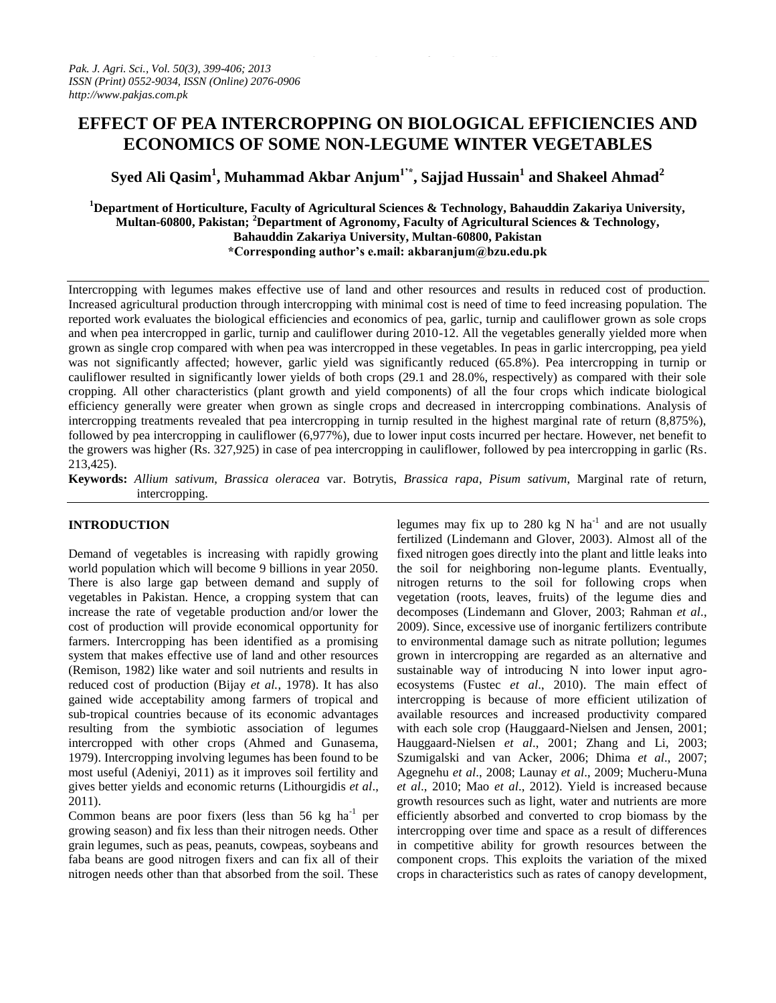# **EFFECT OF PEA INTERCROPPING ON BIOLOGICAL EFFICIENCIES AND ECONOMICS OF SOME NON-LEGUME WINTER VEGETABLES**

**Syed Ali Qasim<sup>1</sup> , Muhammad Akbar Anjum1'\*, Sajjad Hussain<sup>1</sup> and Shakeel Ahmad<sup>2</sup>**

## **<sup>1</sup>Department of Horticulture, Faculty of Agricultural Sciences & Technology, Bahauddin Zakariya University, Multan-60800, Pakistan; <sup>2</sup>Department of Agronomy, Faculty of Agricultural Sciences & Technology, Bahauddin Zakariya University, Multan-60800, Pakistan \*Corresponding author's e.mail: akbaranjum@bzu.edu.pk**

Intercropping with legumes makes effective use of land and other resources and results in reduced cost of production. Increased agricultural production through intercropping with minimal cost is need of time to feed increasing population. The reported work evaluates the biological efficiencies and economics of pea, garlic, turnip and cauliflower grown as sole crops and when pea intercropped in garlic, turnip and cauliflower during 2010-12. All the vegetables generally yielded more when grown as single crop compared with when pea was intercropped in these vegetables. In peas in garlic intercropping, pea yield was not significantly affected; however, garlic yield was significantly reduced (65.8%). Pea intercropping in turnip or cauliflower resulted in significantly lower yields of both crops (29.1 and 28.0%, respectively) as compared with their sole cropping. All other characteristics (plant growth and yield components) of all the four crops which indicate biological efficiency generally were greater when grown as single crops and decreased in intercropping combinations. Analysis of intercropping treatments revealed that pea intercropping in turnip resulted in the highest marginal rate of return (8,875%), followed by pea intercropping in cauliflower (6,977%), due to lower input costs incurred per hectare. However, net benefit to the growers was higher (Rs. 327,925) in case of pea intercropping in cauliflower, followed by pea intercropping in garlic (Rs. 213,425).

**Keywords:** *Allium sativum*, *Brassica oleracea* var. Botrytis, *Brassica rapa*, *Pisum sativum*, Marginal rate of return, intercropping.

## **INTRODUCTION**

Demand of vegetables is increasing with rapidly growing world population which will become 9 billions in year 2050. There is also large gap between demand and supply of vegetables in Pakistan. Hence, a cropping system that can increase the rate of vegetable production and/or lower the cost of production will provide economical opportunity for farmers. Intercropping has been identified as a promising system that makes effective use of land and other resources (Remison, 1982) like water and soil nutrients and results in reduced cost of production (Bijay *et al.*, 1978). It has also gained wide acceptability among farmers of tropical and sub-tropical countries because of its economic advantages resulting from the symbiotic association of legumes intercropped with other crops (Ahmed and Gunasema, 1979). Intercropping involving legumes has been found to be most useful (Adeniyi, 2011) as it improves soil fertility and gives better yields and economic returns (Lithourgidis *et al*., 2011).

Common beans are poor fixers (less than  $56 \text{ kg}$  ha<sup>-1</sup> per growing season) and fix less than their nitrogen needs. Other grain legumes, such as peas, peanuts, cowpeas, soybeans and faba beans are good nitrogen fixers and can fix all of their nitrogen needs other than that absorbed from the soil. These

legumes may fix up to 280 kg N  $ha^{-1}$  and are not usually fertilized (Lindemann and Glover, 2003). Almost all of the fixed nitrogen goes directly into the plant and little leaks into the soil for neighboring non-legume plants. Eventually, nitrogen returns to the soil for following crops when vegetation (roots, leaves, fruits) of the legume dies and decomposes (Lindemann and Glover, 2003; Rahman *et al*., 2009). Since, excessive use of inorganic fertilizers contribute to environmental damage such as nitrate pollution; legumes grown in intercropping are regarded as an alternative and sustainable way of introducing N into lower input agroecosystems (Fustec *et al*., 2010). The main effect of intercropping is because of more efficient utilization of available resources and increased productivity compared with each sole crop (Hauggaard-Nielsen and Jensen, 2001; Hauggaard-Nielsen *et al*., 2001; Zhang and Li, 2003; Szumigalski and van Acker, 2006; Dhima *et al*., 2007; Agegnehu *et al*., 2008; Launay *et al*., 2009; Mucheru-Muna *et al*., 2010; Mao *et al*., 2012). Yield is increased because growth resources such as light, water and nutrients are more efficiently absorbed and converted to crop biomass by the intercropping over time and space as a result of differences in competitive ability for growth resources between the component crops. This exploits the variation of the mixed crops in characteristics such as rates of canopy development,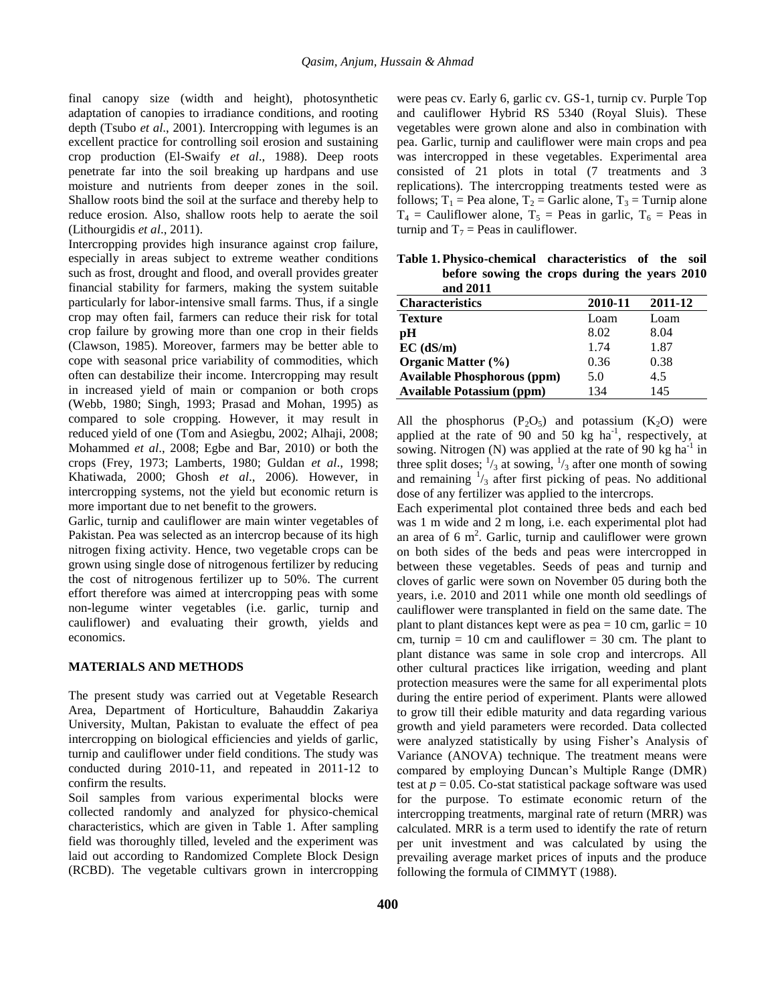final canopy size (width and height), photosynthetic adaptation of canopies to irradiance conditions, and rooting depth (Tsubo *et al*., 2001). Intercropping with legumes is an excellent practice for controlling soil erosion and sustaining crop production (El-Swaify *et al*., 1988). Deep roots penetrate far into the soil breaking up hardpans and use moisture and nutrients from deeper zones in the soil. Shallow roots bind the soil at the surface and thereby help to reduce erosion. Also, shallow roots help to aerate the soil (Lithourgidis *et al*., 2011).

Intercropping provides high insurance against crop failure, especially in areas subject to extreme weather conditions such as frost, drought and flood, and overall provides greater financial stability for farmers, making the system suitable particularly for labor-intensive small farms. Thus, if a single crop may often fail, farmers can reduce their risk for total crop failure by growing more than one crop in their fields (Clawson, 1985). Moreover, farmers may be better able to cope with seasonal price variability of commodities, which often can destabilize their income. Intercropping may result in increased yield of main or companion or both crops (Webb, 1980; Singh, 1993; Prasad and Mohan, 1995) as compared to sole cropping. However, it may result in reduced yield of one (Tom and Asiegbu, 2002; Alhaji, 2008; Mohammed *et al*., 2008; Egbe and Bar, 2010) or both the crops (Frey, 1973; Lamberts, 1980; Guldan *et al*., 1998; Khatiwada, 2000; Ghosh *et al*., 2006). However, in intercropping systems, not the yield but economic return is more important due to net benefit to the growers.

Garlic, turnip and cauliflower are main winter vegetables of Pakistan. Pea was selected as an intercrop because of its high nitrogen fixing activity. Hence, two vegetable crops can be grown using single dose of nitrogenous fertilizer by reducing the cost of nitrogenous fertilizer up to 50%. The current effort therefore was aimed at intercropping peas with some non-legume winter vegetables (i.e. garlic, turnip and cauliflower) and evaluating their growth, yields and economics.

#### **MATERIALS AND METHODS**

The present study was carried out at Vegetable Research Area, Department of Horticulture, Bahauddin Zakariya University, Multan, Pakistan to evaluate the effect of pea intercropping on biological efficiencies and yields of garlic, turnip and cauliflower under field conditions. The study was conducted during 2010-11, and repeated in 2011-12 to confirm the results.

Soil samples from various experimental blocks were collected randomly and analyzed for physico-chemical characteristics, which are given in Table 1. After sampling field was thoroughly tilled, leveled and the experiment was laid out according to Randomized Complete Block Design (RCBD). The vegetable cultivars grown in intercropping were peas cv. Early 6, garlic cv. GS-1, turnip cv. Purple Top and cauliflower Hybrid RS 5340 (Royal Sluis). These vegetables were grown alone and also in combination with pea. Garlic, turnip and cauliflower were main crops and pea was intercropped in these vegetables. Experimental area consisted of 21 plots in total (7 treatments and 3 replications). The intercropping treatments tested were as follows;  $T_1$  = Pea alone,  $T_2$  = Garlic alone,  $T_3$  = Turnip alone  $T_4$  = Cauliflower alone,  $T_5$  = Peas in garlic,  $T_6$  = Peas in turnip and  $T_7$  = Peas in cauliflower.

**Table 1. Physico-chemical characteristics of the soil before sowing the crops during the years 2010 and 2011**

| <b>Characteristics</b>             | 2010-11 | 2011-12 |
|------------------------------------|---------|---------|
| <b>Texture</b>                     | Loam    | Loam    |
| рH                                 | 8.02    | 8.04    |
| $EC$ (dS/m)                        | 1.74    | 1.87    |
| <b>Organic Matter</b> (%)          | 0.36    | 0.38    |
| <b>Available Phosphorous (ppm)</b> | 5.0     | 4.5     |
| <b>Available Potassium (ppm)</b>   | 134     | 145     |

All the phosphorus  $(P_2O_5)$  and potassium  $(K_2O)$  were applied at the rate of 90 and 50  $kg$  ha<sup>-1</sup>, respectively, at sowing. Nitrogen (N) was applied at the rate of  $90 \text{ kg ha}^{-1}$  in three split doses;  $\frac{1}{3}$  at sowing,  $\frac{1}{3}$  after one month of sowing and remaining  $\frac{1}{3}$  after first picking of peas. No additional dose of any fertilizer was applied to the intercrops.

Each experimental plot contained three beds and each bed was 1 m wide and 2 m long, i.e. each experimental plot had an area of  $6 \text{ m}^2$ . Garlic, turnip and cauliflower were grown on both sides of the beds and peas were intercropped in between these vegetables. Seeds of peas and turnip and cloves of garlic were sown on November 05 during both the years, i.e. 2010 and 2011 while one month old seedlings of cauliflower were transplanted in field on the same date. The plant to plant distances kept were as  $pea = 10$  cm, garlic  $= 10$ cm, turnip  $= 10$  cm and cauliflower  $= 30$  cm. The plant to plant distance was same in sole crop and intercrops. All other cultural practices like irrigation, weeding and plant protection measures were the same for all experimental plots during the entire period of experiment. Plants were allowed to grow till their edible maturity and data regarding various growth and yield parameters were recorded. Data collected were analyzed statistically by using Fisher's Analysis of Variance (ANOVA) technique. The treatment means were compared by employing Duncan's Multiple Range (DMR) test at  $p = 0.05$ . Co-stat statistical package software was used for the purpose. To estimate economic return of the intercropping treatments, marginal rate of return (MRR) was calculated. MRR is a term used to identify the rate of return per unit investment and was calculated by using the prevailing average market prices of inputs and the produce following the formula of CIMMYT (1988).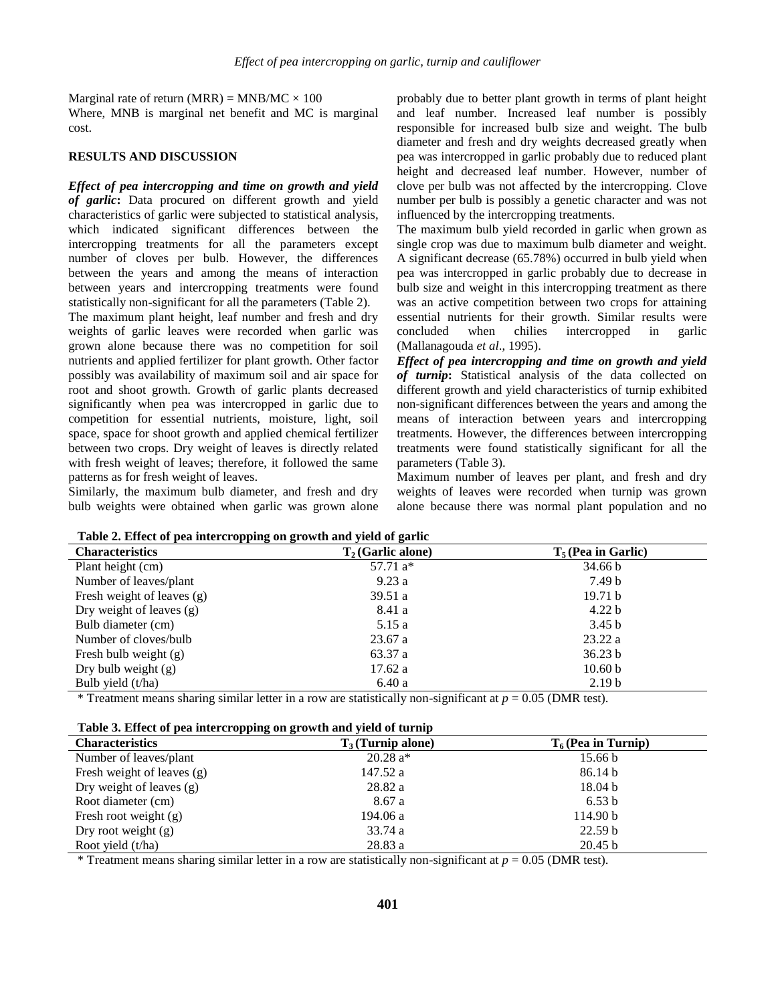Marginal rate of return (MRR) = MNB/MC  $\times$  100

Where, MNB is marginal net benefit and MC is marginal cost.

#### **RESULTS AND DISCUSSION**

*Effect of pea intercropping and time on growth and yield of garlic***:** Data procured on different growth and yield characteristics of garlic were subjected to statistical analysis, which indicated significant differences between the intercropping treatments for all the parameters except number of cloves per bulb. However, the differences between the years and among the means of interaction between years and intercropping treatments were found statistically non-significant for all the parameters (Table 2).

The maximum plant height, leaf number and fresh and dry weights of garlic leaves were recorded when garlic was grown alone because there was no competition for soil nutrients and applied fertilizer for plant growth. Other factor possibly was availability of maximum soil and air space for root and shoot growth. Growth of garlic plants decreased significantly when pea was intercropped in garlic due to competition for essential nutrients, moisture, light, soil space, space for shoot growth and applied chemical fertilizer between two crops. Dry weight of leaves is directly related with fresh weight of leaves; therefore, it followed the same patterns as for fresh weight of leaves.

Similarly, the maximum bulb diameter, and fresh and dry bulb weights were obtained when garlic was grown alone probably due to better plant growth in terms of plant height and leaf number. Increased leaf number is possibly responsible for increased bulb size and weight. The bulb diameter and fresh and dry weights decreased greatly when pea was intercropped in garlic probably due to reduced plant height and decreased leaf number. However, number of clove per bulb was not affected by the intercropping. Clove number per bulb is possibly a genetic character and was not influenced by the intercropping treatments.

The maximum bulb yield recorded in garlic when grown as single crop was due to maximum bulb diameter and weight. A significant decrease (65.78%) occurred in bulb yield when pea was intercropped in garlic probably due to decrease in bulb size and weight in this intercropping treatment as there was an active competition between two crops for attaining essential nutrients for their growth. Similar results were concluded when chilies intercropped in garlic (Mallanagouda *et al*., 1995).

*Effect of pea intercropping and time on growth and yield of turnip***:** Statistical analysis of the data collected on different growth and yield characteristics of turnip exhibited non-significant differences between the years and among the means of interaction between years and intercropping treatments. However, the differences between intercropping treatments were found statistically significant for all the parameters (Table 3).

Maximum number of leaves per plant, and fresh and dry weights of leaves were recorded when turnip was grown alone because there was normal plant population and no

| Table 2. Effect of pea miercropping on growth and yield of garne |                     |                       |  |
|------------------------------------------------------------------|---------------------|-----------------------|--|
| <b>Characteristics</b>                                           | $T2$ (Garlic alone) | $T_5$ (Pea in Garlic) |  |
| Plant height (cm)                                                | $57.71a*$           | 34.66 b               |  |
| Number of leaves/plant                                           | 9.23a               | 7.49 b                |  |
| Fresh weight of leaves (g)                                       | 39.51 a             | 19.71 b               |  |
| Dry weight of leaves $(g)$                                       | 8.41 a              | 4.22 <sub>b</sub>     |  |
| Bulb diameter (cm)                                               | 5.15 a              | 3.45 <sub>b</sub>     |  |
| Number of cloves/bulb                                            | 23.67a              | 23.22a                |  |
| Fresh bulb weight $(g)$                                          | 63.37 a             | 36.23 b               |  |
| Dry bulb weight $(g)$                                            | 17.62 a             | 10.60 <sub>b</sub>    |  |
| Bulb yield (t/ha)                                                | 6.40 a              | 2.19 <sub>b</sub>     |  |
|                                                                  |                     |                       |  |

|  | Table 2. Effect of pea intercropping on growth and yield of garlic |
|--|--------------------------------------------------------------------|
|  |                                                                    |

\* Treatment means sharing similar letter in a row are statistically non-significant at *p* = 0.05 (DMR test).

| Table 3. Effect of pea intercropping on growth and yield of turnip |  |  |  |
|--------------------------------------------------------------------|--|--|--|
|--------------------------------------------------------------------|--|--|--|

| <b>Characteristics</b>     | $T_3$ (Turnip alone) | $T_6$ (Pea in Turnip) |
|----------------------------|----------------------|-----------------------|
| Number of leaves/plant     | $20.28 a*$           | 15.66 b               |
| Fresh weight of leaves (g) | 147.52 a             | 86.14 b               |
| Dry weight of leaves $(g)$ | 28.82 a              | 18.04 b               |
| Root diameter (cm)         | 8.67 a               | 6.53 b                |
| Fresh root weight $(g)$    | 194.06 a             | 114.90 b              |
| Dry root weight $(g)$      | 33.74 a              | 22.59 <sub>b</sub>    |
| Root yield $(t/ha)$        | 28.83a               | 20.45 b               |

\* Treatment means sharing similar letter in a row are statistically non-significant at  $p = 0.05$  (DMR test).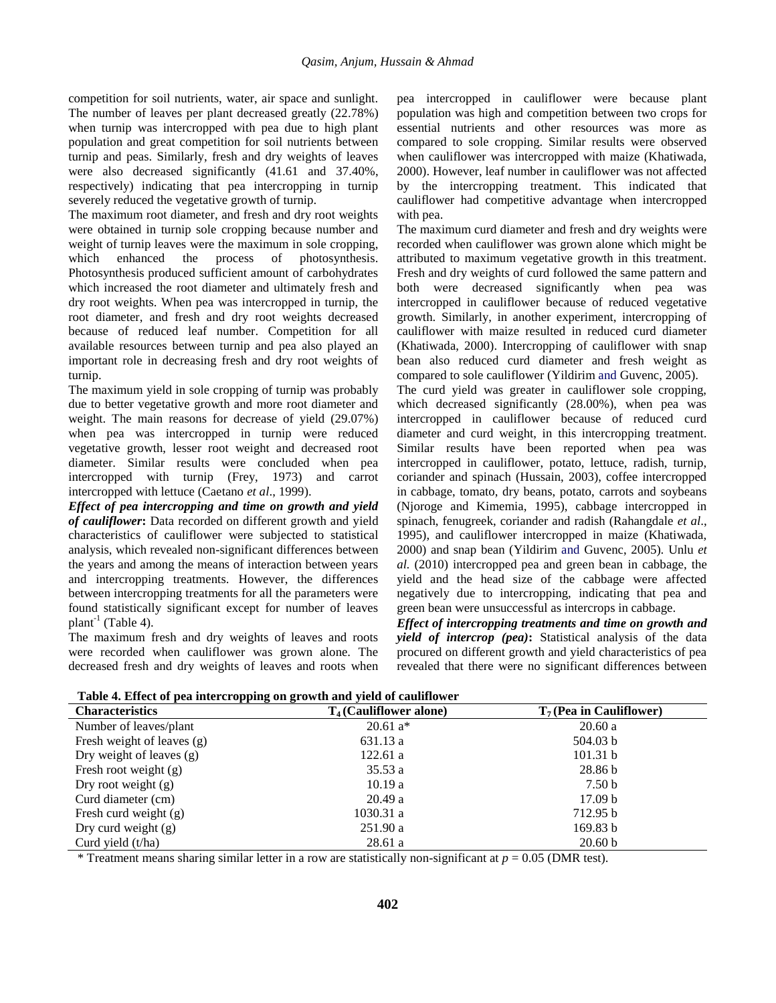competition for soil nutrients, water, air space and sunlight. The number of leaves per plant decreased greatly (22.78%) when turnip was intercropped with pea due to high plant population and great competition for soil nutrients between turnip and peas. Similarly, fresh and dry weights of leaves were also decreased significantly (41.61 and 37.40%, respectively) indicating that pea intercropping in turnip severely reduced the vegetative growth of turnip.

The maximum root diameter, and fresh and dry root weights were obtained in turnip sole cropping because number and weight of turnip leaves were the maximum in sole cropping, which enhanced the process of photosynthesis. Photosynthesis produced sufficient amount of carbohydrates which increased the root diameter and ultimately fresh and dry root weights. When pea was intercropped in turnip, the root diameter, and fresh and dry root weights decreased because of reduced leaf number. Competition for all available resources between turnip and pea also played an important role in decreasing fresh and dry root weights of turnip.

The maximum yield in sole cropping of turnip was probably due to better vegetative growth and more root diameter and weight. The main reasons for decrease of yield (29.07%) when pea was intercropped in turnip were reduced vegetative growth, lesser root weight and decreased root diameter. Similar results were concluded when pea intercropped with turnip (Frey, 1973) and carrot intercropped with lettuce (Caetano *et al*., 1999).

*Effect of pea intercropping and time on growth and yield of cauliflower***:** Data recorded on different growth and yield characteristics of cauliflower were subjected to statistical analysis, which revealed non-significant differences between the years and among the means of interaction between years and intercropping treatments. However, the differences between intercropping treatments for all the parameters were found statistically significant except for number of leaves plant<sup>-1</sup> (Table 4).

The maximum fresh and dry weights of leaves and roots were recorded when cauliflower was grown alone. The decreased fresh and dry weights of leaves and roots when pea intercropped in cauliflower were because plant population was high and competition between two crops for essential nutrients and other resources was more as compared to sole cropping. Similar results were observed when cauliflower was intercropped with maize (Khatiwada, 2000). However, leaf number in cauliflower was not affected by the intercropping treatment. This indicated that cauliflower had competitive advantage when intercropped with pea.

The maximum curd diameter and fresh and dry weights were recorded when cauliflower was grown alone which might be attributed to maximum vegetative growth in this treatment. Fresh and dry weights of curd followed the same pattern and both were decreased significantly when pea was intercropped in cauliflower because of reduced vegetative growth. Similarly, in another experiment, intercropping of cauliflower with maize resulted in reduced curd diameter (Khatiwada, 2000). Intercropping of cauliflower with snap bean also reduced curd diameter and fresh weight as compared to sole cauliflower (Yildirim and Guvenc, 2005).

The curd yield was greater in cauliflower sole cropping, which decreased significantly (28.00%), when pea was intercropped in cauliflower because of reduced curd diameter and curd weight, in this intercropping treatment. Similar results have been reported when pea was intercropped in cauliflower, potato, lettuce, radish, turnip, coriander and spinach (Hussain, 2003), coffee intercropped in cabbage, tomato, dry beans, potato, carrots and soybeans (Njoroge and Kimemia, 1995), cabbage intercropped in spinach, fenugreek, coriander and radish (Rahangdale *et al*., 1995), and cauliflower intercropped in maize (Khatiwada, 2000) and snap bean (Yildirim and Guvenc, 2005). Unlu *et al.* (2010) intercropped pea and green bean in cabbage, the yield and the head size of the cabbage were affected negatively due to intercropping, indicating that pea and green bean were unsuccessful as intercrops in cabbage.

*Effect of intercropping treatments and time on growth and yield of intercrop (pea)***:** Statistical analysis of the data procured on different growth and yield characteristics of pea revealed that there were no significant differences between

| Table 4. Effect of pea intercropping on growth and yield of caunifower |                           |                           |  |  |
|------------------------------------------------------------------------|---------------------------|---------------------------|--|--|
| <b>Characteristics</b>                                                 | $T_4$ (Cauliflower alone) | $T7$ (Pea in Cauliflower) |  |  |
| Number of leaves/plant                                                 | $20.61 a*$                | 20.60a                    |  |  |
| Fresh weight of leaves (g)                                             | 631.13 a                  | 504.03 b                  |  |  |
| Dry weight of leaves $(g)$                                             | 122.61 a                  | 101.31 b                  |  |  |
| Fresh root weight $(g)$                                                | 35.53a                    | 28.86 b                   |  |  |
| Dry root weight $(g)$                                                  | 10.19a                    | 7.50 <sub>b</sub>         |  |  |
| Curd diameter (cm)                                                     | 20.49a                    | 17.09 <sub>b</sub>        |  |  |
| Fresh curd weight $(g)$                                                | 1030.31 a                 | 712.95 b                  |  |  |
| Dry curd weight $(g)$                                                  | 251.90 a                  | 169.83 b                  |  |  |
| Curd yield $(t/ha)$                                                    | 28.61a                    | 20.60 <sub>b</sub>        |  |  |

**Table 4. Effect of pea intercropping on growth and yield of cauliflower** 

\* Treatment means sharing similar letter in a row are statistically non-significant at *p* = 0.05 (DMR test).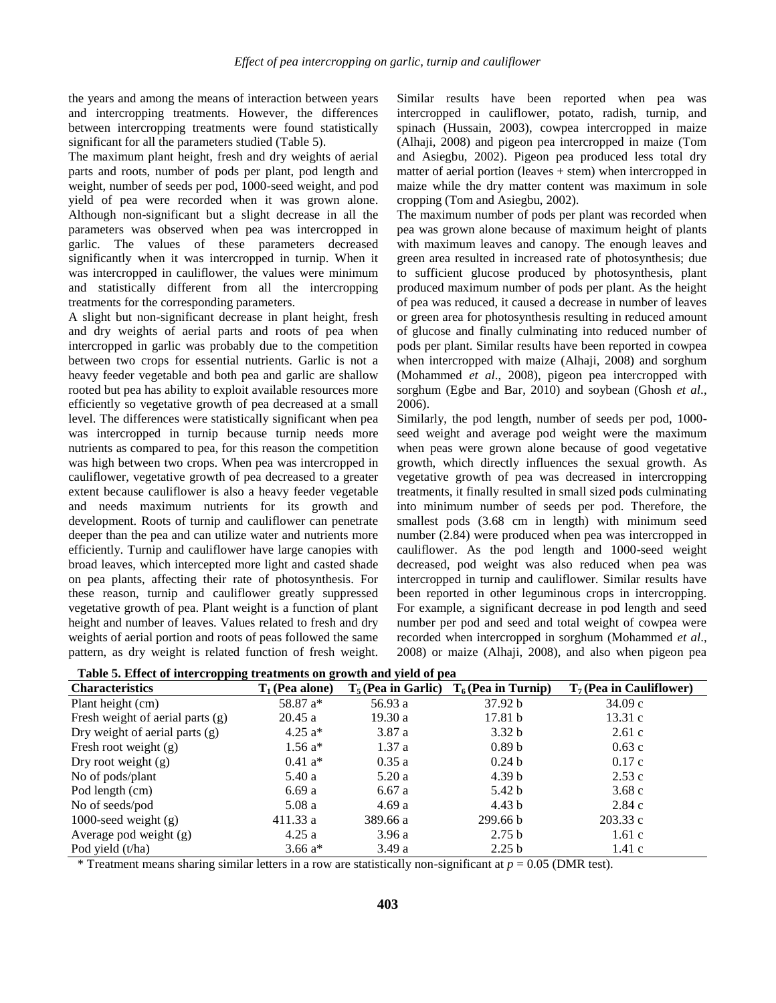the years and among the means of interaction between years and intercropping treatments. However, the differences between intercropping treatments were found statistically significant for all the parameters studied (Table 5).

The maximum plant height, fresh and dry weights of aerial parts and roots, number of pods per plant, pod length and weight, number of seeds per pod, 1000-seed weight, and pod yield of pea were recorded when it was grown alone. Although non-significant but a slight decrease in all the parameters was observed when pea was intercropped in garlic. The values of these parameters decreased significantly when it was intercropped in turnip. When it was intercropped in cauliflower, the values were minimum and statistically different from all the intercropping treatments for the corresponding parameters.

A slight but non-significant decrease in plant height, fresh and dry weights of aerial parts and roots of pea when intercropped in garlic was probably due to the competition between two crops for essential nutrients. Garlic is not a heavy feeder vegetable and both pea and garlic are shallow rooted but pea has ability to exploit available resources more efficiently so vegetative growth of pea decreased at a small level. The differences were statistically significant when pea was intercropped in turnip because turnip needs more nutrients as compared to pea, for this reason the competition was high between two crops. When pea was intercropped in cauliflower, vegetative growth of pea decreased to a greater extent because cauliflower is also a heavy feeder vegetable and needs maximum nutrients for its growth and development. Roots of turnip and cauliflower can penetrate deeper than the pea and can utilize water and nutrients more efficiently. Turnip and cauliflower have large canopies with broad leaves, which intercepted more light and casted shade on pea plants, affecting their rate of photosynthesis. For these reason, turnip and cauliflower greatly suppressed vegetative growth of pea. Plant weight is a function of plant height and number of leaves. Values related to fresh and dry weights of aerial portion and roots of peas followed the same pattern, as dry weight is related function of fresh weight.

Similar results have been reported when pea was intercropped in cauliflower, potato, radish, turnip, and spinach (Hussain, 2003), cowpea intercropped in maize (Alhaji, 2008) and pigeon pea intercropped in maize (Tom and Asiegbu, 2002). Pigeon pea produced less total dry matter of aerial portion (leaves + stem) when intercropped in maize while the dry matter content was maximum in sole cropping (Tom and Asiegbu, 2002).

The maximum number of pods per plant was recorded when pea was grown alone because of maximum height of plants with maximum leaves and canopy. The enough leaves and green area resulted in increased rate of photosynthesis; due to sufficient glucose produced by photosynthesis, plant produced maximum number of pods per plant. As the height of pea was reduced, it caused a decrease in number of leaves or green area for photosynthesis resulting in reduced amount of glucose and finally culminating into reduced number of pods per plant. Similar results have been reported in cowpea when intercropped with maize (Alhaji, 2008) and sorghum (Mohammed *et al*., 2008), pigeon pea intercropped with sorghum (Egbe and Bar, 2010) and soybean (Ghosh *et al*., 2006).

Similarly, the pod length, number of seeds per pod, 1000 seed weight and average pod weight were the maximum when peas were grown alone because of good vegetative growth, which directly influences the sexual growth. As vegetative growth of pea was decreased in intercropping treatments, it finally resulted in small sized pods culminating into minimum number of seeds per pod. Therefore, the smallest pods (3.68 cm in length) with minimum seed number (2.84) were produced when pea was intercropped in cauliflower. As the pod length and 1000-seed weight decreased, pod weight was also reduced when pea was intercropped in turnip and cauliflower. Similar results have been reported in other leguminous crops in intercropping. For example, a significant decrease in pod length and seed number per pod and seed and total weight of cowpea were recorded when intercropped in sorghum (Mohammed *et al*., 2008) or maize (Alhaji, 2008), and also when pigeon pea

| <b>Characteristics</b>             | $T_1$ (Pea alone) |          | $T_5$ (Pea in Garlic) $T_6$ (Pea in Turnip) | $T_7$ (Pea in Cauliflower) |
|------------------------------------|-------------------|----------|---------------------------------------------|----------------------------|
| Plant height (cm)                  | 58.87 a*          | 56.93 a  | 37.92 b                                     | 34.09c                     |
| Fresh weight of aerial parts $(g)$ | 20.45a            | 19.30a   | 17.81 <sub>b</sub>                          | 13.31c                     |
| Dry weight of aerial parts $(g)$   | 4.25 $a^*$        | 3.87 a   | 3.32 <sub>b</sub>                           | 2.61c                      |
| Fresh root weight $(g)$            | $1.56a*$          | 1.37a    | 0.89 <sub>b</sub>                           | 0.63c                      |
| Dry root weight $(g)$              | $0.41 a*$         | 0.35a    | 0.24 <sub>b</sub>                           | 0.17c                      |
| No of pods/plant                   | 5.40a             | 5.20a    | 4.39 <sub>b</sub>                           | 2.53c                      |
| Pod length (cm)                    | 6.69a             | 6.67a    | 5.42 b                                      | 3.68c                      |
| No of seeds/pod                    | 5.08a             | 4.69a    | 4.43 <sub>b</sub>                           | 2.84c                      |
| 1000-seed weight $(g)$             | 411.33 a          | 389.66 a | 299.66 b                                    | 203.33c                    |
| Average pod weight (g)             | 4.25a             | 3.96a    | 2.75 <sub>b</sub>                           | 1.61c                      |
| Pod yield (t/ha)                   | 3.66 $a^*$        | 3.49 a   | 2.25 <sub>b</sub>                           | 1.41c                      |

**Table 5. Effect of intercropping treatments on growth and yield of pea** 

\* Treatment means sharing similar letters in a row are statistically non-significant at  $p = 0.05$  (DMR test).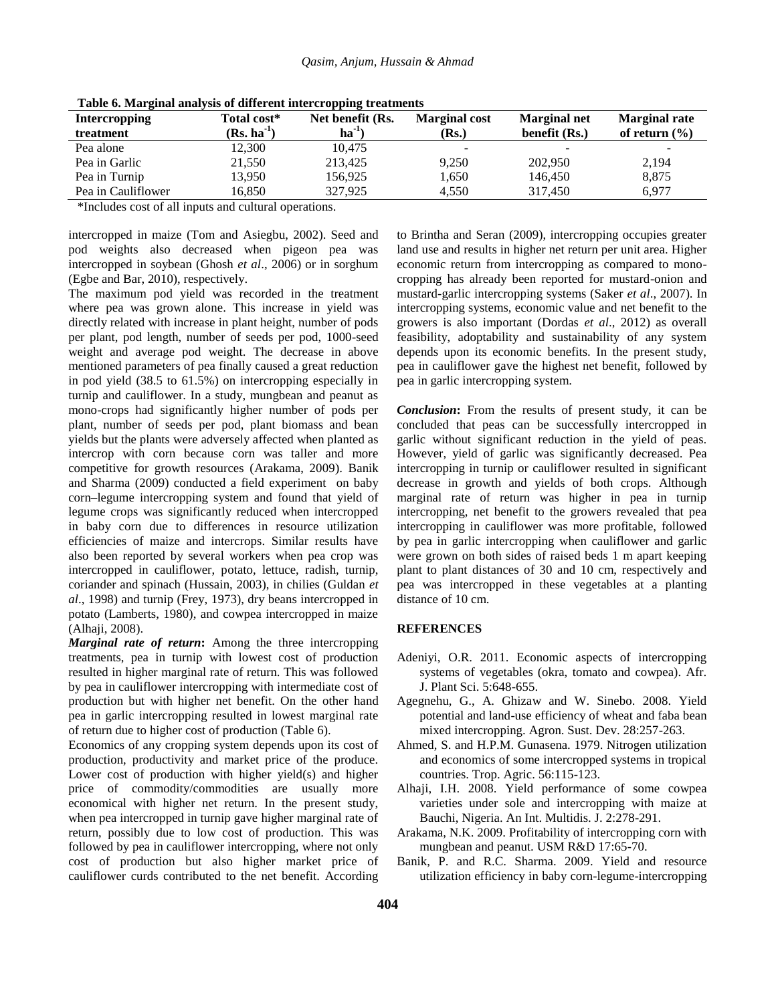| <b>Intercropping</b><br>treatment | Total cost*<br>$(Rs. ha-1)$ | Net benefit (Rs.<br>$ha^{-1}$ | <b>Marginal cost</b><br>(Rs.) | <b>Marginal net</b><br>benefit (Rs.) | <b>Marginal rate</b><br>of return $(\% )$ |
|-----------------------------------|-----------------------------|-------------------------------|-------------------------------|--------------------------------------|-------------------------------------------|
| Pea alone                         | 12,300                      | 10,475                        | $\overline{\phantom{a}}$      | $\overline{\phantom{0}}$             |                                           |
| Pea in Garlic                     | 21,550                      | 213.425                       | 9,250                         | 202,950                              | 2,194                                     |
| Pea in Turnip                     | 13.950                      | 156,925                       | 1,650                         | 146.450                              | 8,875                                     |
| Pea in Cauliflower                | 16.850                      | 327,925                       | 4.550                         | 317,450                              | 6.977                                     |

**Table 6. Marginal analysis of different intercropping treatments**

\*Includes cost of all inputs and cultural operations.

intercropped in maize (Tom and Asiegbu, 2002). Seed and pod weights also decreased when pigeon pea was intercropped in soybean (Ghosh *et al*., 2006) or in sorghum (Egbe and Bar, 2010), respectively.

The maximum pod yield was recorded in the treatment where pea was grown alone. This increase in yield was directly related with increase in plant height, number of pods per plant, pod length, number of seeds per pod, 1000-seed weight and average pod weight. The decrease in above mentioned parameters of pea finally caused a great reduction in pod yield (38.5 to 61.5%) on intercropping especially in turnip and cauliflower. In a study, mungbean and peanut as mono-crops had significantly higher number of pods per plant, number of seeds per pod, plant biomass and bean yields but the plants were adversely affected when planted as intercrop with corn because corn was taller and more competitive for growth resources (Arakama, 2009). Banik and Sharma (2009) conducted a field experiment on baby corn–legume intercropping system and found that yield of legume crops was significantly reduced when intercropped in baby corn due to differences in resource utilization efficiencies of maize and intercrops. Similar results have also been reported by several workers when pea crop was intercropped in cauliflower, potato, lettuce, radish, turnip, coriander and spinach (Hussain, 2003), in chilies (Guldan *et al*., 1998) and turnip (Frey, 1973), dry beans intercropped in potato (Lamberts, 1980), and cowpea intercropped in maize (Alhaji, 2008).

*Marginal rate of return***:** Among the three intercropping treatments, pea in turnip with lowest cost of production resulted in higher marginal rate of return. This was followed by pea in cauliflower intercropping with intermediate cost of production but with higher net benefit. On the other hand pea in garlic intercropping resulted in lowest marginal rate of return due to higher cost of production (Table 6).

Economics of any cropping system depends upon its cost of production, productivity and market price of the produce. Lower cost of production with higher yield(s) and higher price of commodity/commodities are usually more economical with higher net return. In the present study, when pea intercropped in turnip gave higher marginal rate of return, possibly due to low cost of production. This was followed by pea in cauliflower intercropping, where not only cost of production but also higher market price of cauliflower curds contributed to the net benefit. According

to Brintha and Seran (2009), intercropping occupies greater land use and results in higher net return per unit area. Higher economic return from intercropping as compared to monocropping has already been reported for mustard-onion and mustard-garlic intercropping systems (Saker *et al*., 2007). In intercropping systems, economic value and net benefit to the growers is also important (Dordas *et al*., 2012) as overall feasibility, adoptability and sustainability of any system depends upon its economic benefits. In the present study, pea in cauliflower gave the highest net benefit, followed by pea in garlic intercropping system.

*Conclusion***:** From the results of present study, it can be concluded that peas can be successfully intercropped in garlic without significant reduction in the yield of peas. However, yield of garlic was significantly decreased. Pea intercropping in turnip or cauliflower resulted in significant decrease in growth and yields of both crops. Although marginal rate of return was higher in pea in turnip intercropping, net benefit to the growers revealed that pea intercropping in cauliflower was more profitable, followed by pea in garlic intercropping when cauliflower and garlic were grown on both sides of raised beds 1 m apart keeping plant to plant distances of 30 and 10 cm, respectively and pea was intercropped in these vegetables at a planting distance of 10 cm.

### **REFERENCES**

- Adeniyi, O.R. 2011. Economic aspects of intercropping systems of vegetables (okra, tomato and cowpea). Afr. J. Plant Sci. 5:648-655.
- Agegnehu, G., A. Ghizaw and W. Sinebo. 2008. Yield potential and land-use efficiency of wheat and faba bean mixed intercropping. Agron. Sust. Dev. 28:257-263.
- Ahmed, S. and H.P.M. Gunasena. 1979. Nitrogen utilization and economics of some intercropped systems in tropical countries. Trop. Agric. 56:115-123.
- Alhaji, I.H. 2008. Yield performance of some cowpea varieties under sole and intercropping with maize at Bauchi, Nigeria. An Int. Multidis. J. 2:278-291.
- Arakama, N.K. 2009. Profitability of intercropping corn with mungbean and peanut. USM R&D 17:65-70.
- Banik, P. and R.C. Sharma. 2009. Yield and resource utilization efficiency in baby corn-legume-intercropping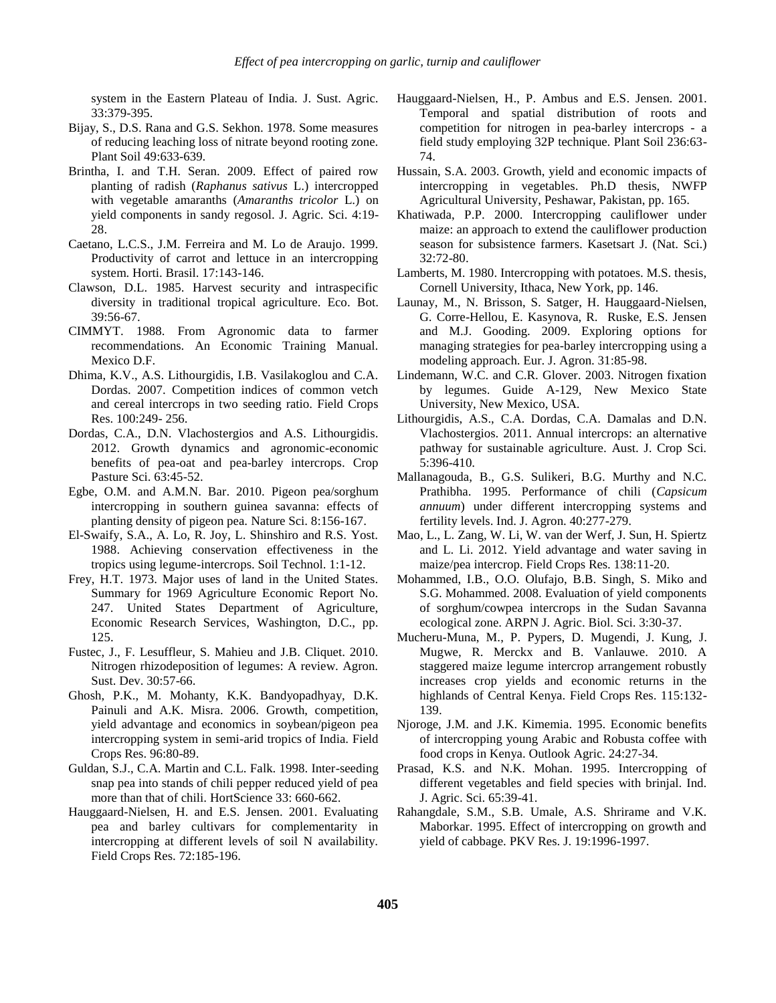system in the Eastern Plateau of India. J. Sust. Agric. 33:379-395.

- Bijay, S., D.S. Rana and G.S. Sekhon. 1978. Some measures of reducing leaching loss of nitrate beyond rooting zone. Plant Soil 49:633-639.
- Brintha, I. and T.H. Seran. 2009. Effect of paired row planting of radish (*Raphanus sativus* L.) intercropped with vegetable amaranths (*Amaranths tricolor* L.) on yield components in sandy regosol. J. Agric. Sci. 4:19- 28.
- Caetano, L.C.S., J.M. Ferreira and M. Lo de Araujo. 1999. Productivity of carrot and lettuce in an intercropping system. Horti. Brasil. 17:143-146.
- Clawson, D.L. 1985. Harvest security and intraspecific diversity in traditional tropical agriculture. Eco. Bot. 39:56-67.
- CIMMYT. 1988. From Agronomic data to farmer recommendations. An Economic Training Manual. Mexico D.F.
- Dhima, K.V., A.S. Lithourgidis, I.B. Vasilakoglou and C.A. Dordas. 2007. Competition indices of common vetch and cereal intercrops in two seeding ratio. Field Crops Res. 100:249- 256.
- Dordas, C.A., D.N. Vlachostergios and A.S. Lithourgidis. 2012. Growth dynamics and agronomic-economic benefits of pea-oat and pea-barley intercrops. Crop Pasture Sci. 63:45-52.
- Egbe, O.M. and A.M.N. Bar. 2010. Pigeon pea/sorghum intercropping in southern guinea savanna: effects of planting density of pigeon pea. Nature Sci. 8:156-167.
- El-Swaify, S.A., A. Lo, R. Joy, L. Shinshiro and R.S. Yost. 1988. Achieving conservation effectiveness in the tropics using legume-intercrops. Soil Technol. 1:1-12.
- Frey, H.T. 1973. Major uses of land in the United States. Summary for 1969 Agriculture Economic Report No. 247. United States Department of Agriculture, Economic Research Services, Washington, D.C., pp. 125.
- Fustec, J., F. Lesuffleur, S. Mahieu and J.B. Cliquet. 2010. Nitrogen rhizodeposition of legumes: A review. Agron. Sust. Dev. 30:57-66.
- Ghosh, P.K., M. Mohanty, K.K. Bandyopadhyay, D.K. Painuli and A.K. Misra. 2006. Growth, competition, yield advantage and economics in soybean/pigeon pea intercropping system in semi-arid tropics of India. Field Crops Res. 96:80-89.
- Guldan, S.J., C.A. Martin and C.L. Falk. 1998. Inter-seeding snap pea into stands of chili pepper reduced yield of pea more than that of chili. HortScience 33: 660-662.
- Hauggaard-Nielsen, H. and E.S. Jensen. 2001. Evaluating pea and barley cultivars for complementarity in intercropping at different levels of soil N availability. Field Crops Res. 72:185-196.
- Hauggaard-Nielsen, H., P. Ambus and E.S. Jensen. 2001. Temporal and spatial distribution of roots and competition for nitrogen in pea-barley intercrops - a field study employing 32P technique. Plant Soil 236:63- 74.
- Hussain, S.A. 2003. Growth, yield and economic impacts of intercropping in vegetables. Ph.D thesis, NWFP Agricultural University, Peshawar, Pakistan, pp. 165.
- Khatiwada, P.P. 2000. Intercropping cauliflower under maize: an approach to extend the cauliflower production season for subsistence farmers. Kasetsart J. (Nat. Sci.) 32:72-80.
- Lamberts, M. 1980. Intercropping with potatoes. M.S. thesis, Cornell University, Ithaca, New York, pp. 146.
- Launay, M., N. Brisson, S. Satger, H. Hauggaard-Nielsen, G. Corre-Hellou, E. Kasynova, R. Ruske, E.S. Jensen and M.J. Gooding. 2009. Exploring options for managing strategies for pea-barley intercropping using a modeling approach. Eur. J. Agron. 31:85-98.
- Lindemann, W.C. and C.R. Glover. 2003. Nitrogen fixation by legumes. Guide A-129, New Mexico State University, New Mexico, USA.
- Lithourgidis, A.S., C.A. Dordas, C.A. Damalas and D.N. Vlachostergios. 2011. Annual intercrops: an alternative pathway for sustainable agriculture. Aust. J. Crop Sci. 5:396-410.
- Mallanagouda, B., G.S. Sulikeri, B.G. Murthy and N.C. Prathibha. 1995. Performance of chili (*Capsicum annuum*) under different intercropping systems and fertility levels. Ind. J. Agron. 40:277-279.
- Mao, L., L. Zang, W. Li, W. van der Werf, J. Sun, H. Spiertz and L. Li. 2012. Yield advantage and water saving in maize/pea intercrop. Field Crops Res. 138:11-20.
- Mohammed, I.B., O.O. Olufajo, B.B. Singh, S. Miko and S.G. Mohammed. 2008. Evaluation of yield components of sorghum/cowpea intercrops in the Sudan Savanna ecological zone. ARPN J. Agric. Biol. Sci. 3:30-37.
- Mucheru-Muna, M., P. Pypers, D. Mugendi, J. Kung, J. Mugwe, R. Merckx and B. Vanlauwe. 2010. A staggered maize legume intercrop arrangement robustly increases crop yields and economic returns in the highlands of Central Kenya. Field Crops Res. 115:132- 139.
- Njoroge, J.M. and J.K. Kimemia. 1995. Economic benefits of intercropping young Arabic and Robusta coffee with food crops in Kenya. Outlook Agric. 24:27-34.
- Prasad, K.S. and N.K. Mohan. 1995. Intercropping of different vegetables and field species with brinjal. Ind. J. Agric. Sci. 65:39-41.
- Rahangdale, S.M., S.B. Umale, A.S. Shrirame and V.K. Maborkar. 1995. Effect of intercropping on growth and yield of cabbage. PKV Res. J. 19:1996-1997.